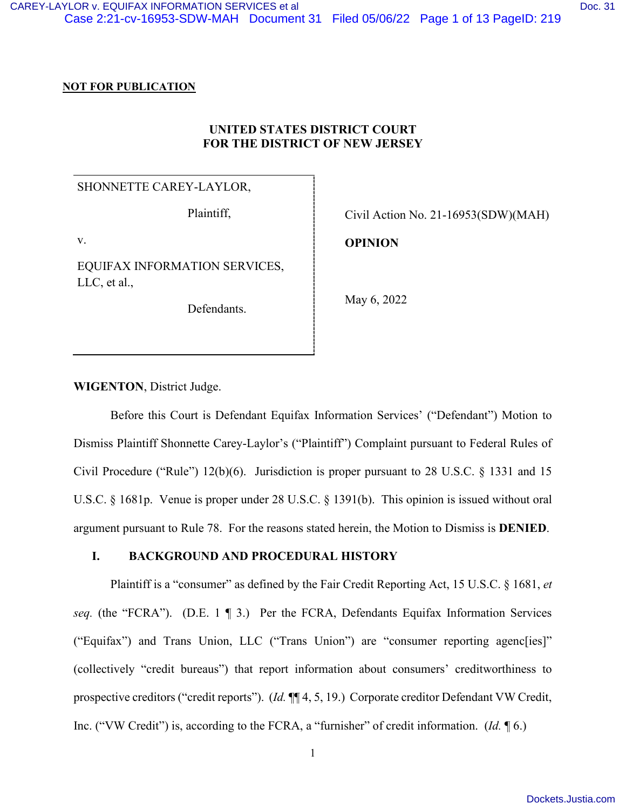#### **NOT FOR PUBLICATION**

## **UNITED STATES DISTRICT COURT FOR THE DISTRICT OF NEW JERSEY**

### SHONNETTE CAREY-LAYLOR,

Plaintiff,

v.

EQUIFAX INFORMATION SERVICES, LLC, et al.,

Defendants.

Civil Action No. 21-16953(SDW)(MAH)

**OPINION**

May 6, 2022

**WIGENTON**, District Judge.

Before this Court is Defendant Equifax Information Services' ("Defendant") Motion to Dismiss Plaintiff Shonnette Carey-Laylor's ("Plaintiff") Complaint pursuant to Federal Rules of Civil Procedure ("Rule")  $12(b)(6)$ . Jurisdiction is proper pursuant to 28 U.S.C. § 1331 and 15 U.S.C. § 1681p. Venue is proper under 28 U.S.C. § 1391(b). This opinion is issued without oral argument pursuant to Rule 78. For the reasons stated herein, the Motion to Dismiss is **DENIED**.

#### **I. BACKGROUND AND PROCEDURAL HISTORY**

Plaintiff is a "consumer" as defined by the Fair Credit Reporting Act, 15 U.S.C. § 1681, *et seq.* (the "FCRA"). (D.E. 1 ¶ 3.) Per the FCRA, Defendants Equifax Information Services ("Equifax") and Trans Union, LLC ("Trans Union") are "consumer reporting agenc[ies]" (collectively "credit bureaus") that report information about consumers' creditworthiness to prospective creditors ("credit reports"). (*Id.* ¶¶ 4, 5, 19.) Corporate creditor Defendant VW Credit, Inc. ("VW Credit") is, according to the FCRA, a "furnisher" of credit information. (*Id.* ¶ 6.)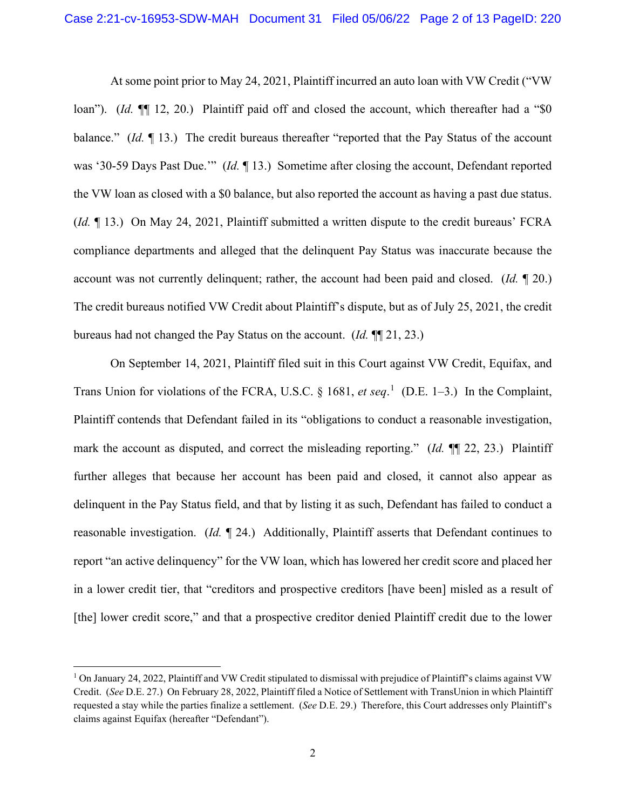At some point prior to May 24, 2021, Plaintiff incurred an auto loan with VW Credit ("VW loan"). (*Id.* ¶[ 12, 20.) Plaintiff paid off and closed the account, which thereafter had a "\$0 balance." *(Id.* 13.) The credit bureaus thereafter "reported that the Pay Status of the account was '30-59 Days Past Due.'" (*Id.* ¶ 13.) Sometime after closing the account, Defendant reported the VW loan as closed with a \$0 balance, but also reported the account as having a past due status. (*Id.* ¶ 13.) On May 24, 2021, Plaintiff submitted a written dispute to the credit bureaus' FCRA compliance departments and alleged that the delinquent Pay Status was inaccurate because the account was not currently delinquent; rather, the account had been paid and closed. (*Id.* ¶ 20.) The credit bureaus notified VW Credit about Plaintiff's dispute, but as of July 25, 2021, the credit bureaus had not changed the Pay Status on the account. (*Id.* ¶¶ 21, 23.)

On September 14, 2021, Plaintiff filed suit in this Court against VW Credit, Equifax, and Trans Union for violations of the FCRA, U.S.C. § [1](#page-1-0)681, *et seq*.<sup>1</sup> (D.E. 1–3.) In the Complaint, Plaintiff contends that Defendant failed in its "obligations to conduct a reasonable investigation, mark the account as disputed, and correct the misleading reporting." (*Id.* ¶¶ 22, 23.) Plaintiff further alleges that because her account has been paid and closed, it cannot also appear as delinquent in the Pay Status field, and that by listing it as such, Defendant has failed to conduct a reasonable investigation. (*Id.* ¶ 24.) Additionally, Plaintiff asserts that Defendant continues to report "an active delinquency" for the VW loan, which has lowered her credit score and placed her in a lower credit tier, that "creditors and prospective creditors [have been] misled as a result of [the] lower credit score," and that a prospective creditor denied Plaintiff credit due to the lower

<span id="page-1-0"></span><sup>1</sup> On January 24, 2022, Plaintiff and VW Credit stipulated to dismissal with prejudice of Plaintiff's claims against VW Credit. (*See* D.E. 27.) On February 28, 2022, Plaintiff filed a Notice of Settlement with TransUnion in which Plaintiff requested a stay while the parties finalize a settlement. (*See* D.E. 29.) Therefore, this Court addresses only Plaintiff's claims against Equifax (hereafter "Defendant").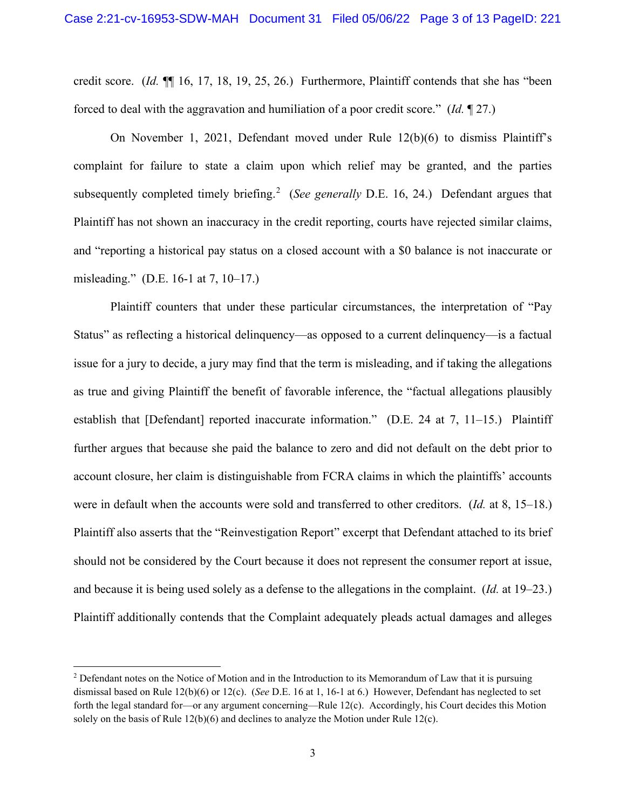credit score. (*Id.* ¶¶ 16, 17, 18, 19, 25, 26.) Furthermore, Plaintiff contends that she has "been forced to deal with the aggravation and humiliation of a poor credit score." (*Id.* ¶ 27.)

On November 1, 2021, Defendant moved under Rule 12(b)(6) to dismiss Plaintiff's complaint for failure to state a claim upon which relief may be granted, and the parties subsequently completed timely briefing.<sup>[2](#page-2-0)</sup> (See generally D.E. 16, 24.) Defendant argues that Plaintiff has not shown an inaccuracy in the credit reporting, courts have rejected similar claims, and "reporting a historical pay status on a closed account with a \$0 balance is not inaccurate or misleading." (D.E. 16-1 at 7, 10–17.)

Plaintiff counters that under these particular circumstances, the interpretation of "Pay Status" as reflecting a historical delinquency—as opposed to a current delinquency—is a factual issue for a jury to decide, a jury may find that the term is misleading, and if taking the allegations as true and giving Plaintiff the benefit of favorable inference, the "factual allegations plausibly establish that [Defendant] reported inaccurate information." (D.E. 24 at 7, 11–15.) Plaintiff further argues that because she paid the balance to zero and did not default on the debt prior to account closure, her claim is distinguishable from FCRA claims in which the plaintiffs' accounts were in default when the accounts were sold and transferred to other creditors. (*Id.* at 8, 15–18.) Plaintiff also asserts that the "Reinvestigation Report" excerpt that Defendant attached to its brief should not be considered by the Court because it does not represent the consumer report at issue, and because it is being used solely as a defense to the allegations in the complaint. (*Id.* at 19–23.) Plaintiff additionally contends that the Complaint adequately pleads actual damages and alleges

<span id="page-2-0"></span><sup>&</sup>lt;sup>2</sup> Defendant notes on the Notice of Motion and in the Introduction to its Memorandum of Law that it is pursuing dismissal based on Rule 12(b)(6) or 12(c). (*See* D.E. 16 at 1, 16-1 at 6.) However, Defendant has neglected to set forth the legal standard for—or any argument concerning—Rule 12(c). Accordingly, his Court decides this Motion solely on the basis of Rule  $12(b)(6)$  and declines to analyze the Motion under Rule  $12(c)$ .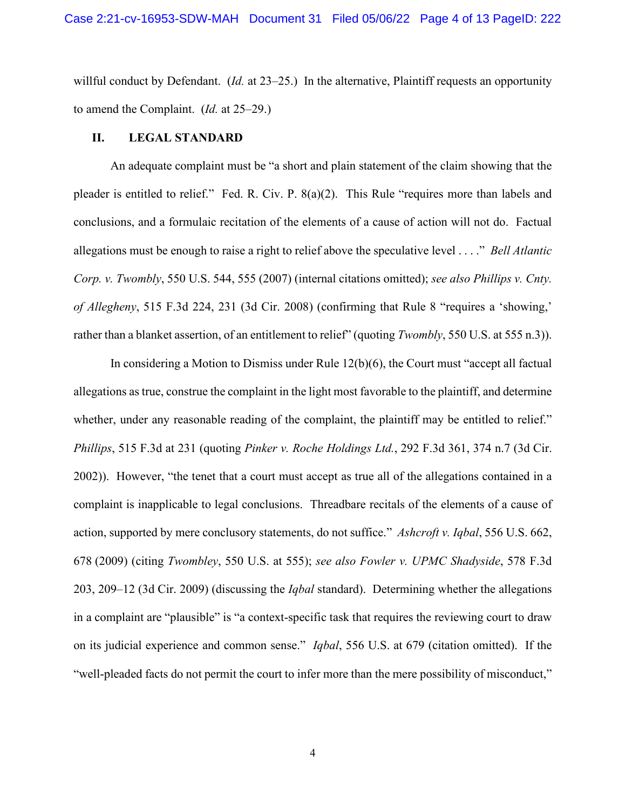willful conduct by Defendant. (*Id.* at 23–25.) In the alternative, Plaintiff requests an opportunity to amend the Complaint. (*Id.* at 25–29.)

### **II. LEGAL STANDARD**

An adequate complaint must be "a short and plain statement of the claim showing that the pleader is entitled to relief." Fed. R. Civ. P. 8(a)(2). This Rule "requires more than labels and conclusions, and a formulaic recitation of the elements of a cause of action will not do. Factual allegations must be enough to raise a right to relief above the speculative level . . . ." *Bell Atlantic Corp. v. Twombly*, 550 U.S. 544, 555 (2007) (internal citations omitted); *see also Phillips v. Cnty. of Allegheny*, 515 F.3d 224, 231 (3d Cir. 2008) (confirming that Rule 8 "requires a 'showing,' rather than a blanket assertion, of an entitlement to relief" (quoting *Twombly*, 550 U.S. at 555 n.3)).

In considering a Motion to Dismiss under Rule 12(b)(6), the Court must "accept all factual allegations as true, construe the complaint in the light most favorable to the plaintiff, and determine whether, under any reasonable reading of the complaint, the plaintiff may be entitled to relief." *Phillips*, 515 F.3d at 231 (quoting *Pinker v. Roche Holdings Ltd.*, 292 F.3d 361, 374 n.7 (3d Cir. 2002)). However, "the tenet that a court must accept as true all of the allegations contained in a complaint is inapplicable to legal conclusions. Threadbare recitals of the elements of a cause of action, supported by mere conclusory statements, do not suffice." *Ashcroft v. Iqbal*, 556 U.S. 662, 678 (2009) (citing *Twombley*, 550 U.S. at 555); *see also Fowler v. UPMC Shadyside*, 578 F.3d 203, 209–12 (3d Cir. 2009) (discussing the *Iqbal* standard). Determining whether the allegations in a complaint are "plausible" is "a context-specific task that requires the reviewing court to draw on its judicial experience and common sense." *Iqbal*, 556 U.S. at 679 (citation omitted). If the "well-pleaded facts do not permit the court to infer more than the mere possibility of misconduct,"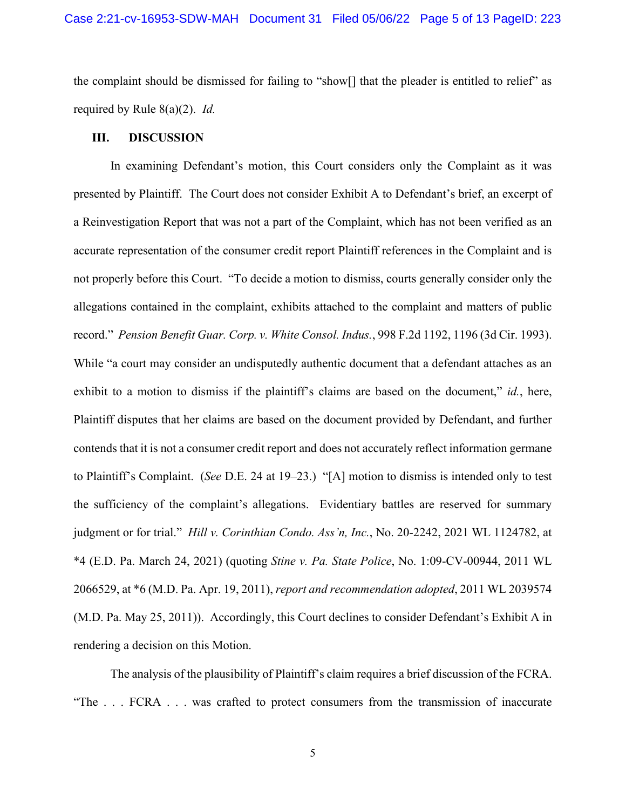the complaint should be dismissed for failing to "show[] that the pleader is entitled to relief" as required by Rule 8(a)(2). *Id.*

### **III. DISCUSSION**

In examining Defendant's motion, this Court considers only the Complaint as it was presented by Plaintiff. The Court does not consider Exhibit A to Defendant's brief, an excerpt of a Reinvestigation Report that was not a part of the Complaint, which has not been verified as an accurate representation of the consumer credit report Plaintiff references in the Complaint and is not properly before this Court. "To decide a motion to dismiss, courts generally consider only the allegations contained in the complaint, exhibits attached to the complaint and matters of public record." *Pension Benefit Guar. Corp. v. White Consol. Indus.*, 998 F.2d 1192, 1196 (3d Cir. 1993). While "a court may consider an undisputedly authentic document that a defendant attaches as an exhibit to a motion to dismiss if the plaintiff's claims are based on the document," *id.*, here, Plaintiff disputes that her claims are based on the document provided by Defendant, and further contends that it is not a consumer credit report and does not accurately reflect information germane to Plaintiff's Complaint. (*See* D.E. 24 at 19–23.) "[A] motion to dismiss is intended only to test the sufficiency of the complaint's allegations. Evidentiary battles are reserved for summary judgment or for trial." *Hill v. Corinthian Condo. Ass'n, Inc.*, No. 20-2242, 2021 WL 1124782, at \*4 (E.D. Pa. March 24, 2021) (quoting *Stine v. Pa. State Police*, No. 1:09-CV-00944, 2011 WL 2066529, at \*6 (M.D. Pa. Apr. 19, 2011), *report and recommendation adopted*, 2011 WL 2039574 (M.D. Pa. May 25, 2011)). Accordingly, this Court declines to consider Defendant's Exhibit A in rendering a decision on this Motion.

The analysis of the plausibility of Plaintiff's claim requires a brief discussion of the FCRA. "The . . . FCRA . . . was crafted to protect consumers from the transmission of inaccurate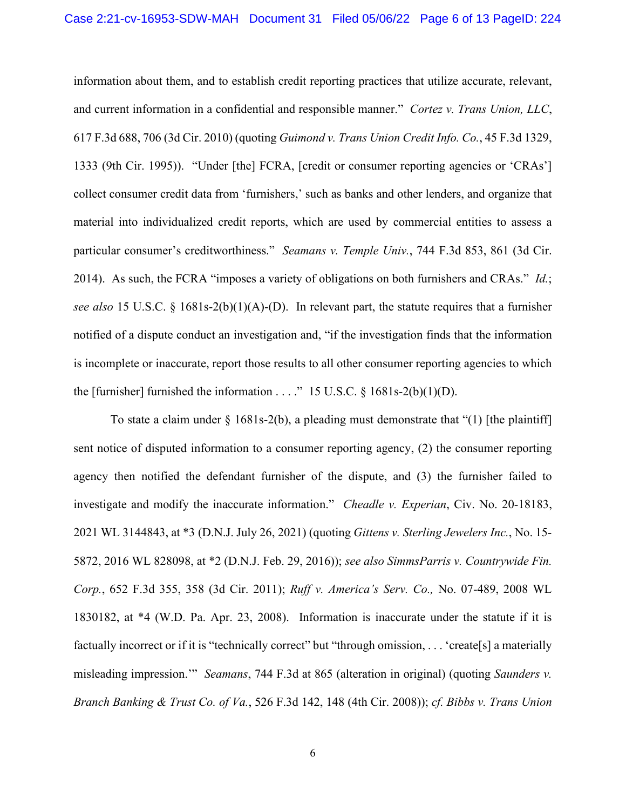information about them, and to establish credit reporting practices that utilize accurate, relevant, and current information in a confidential and responsible manner." *Cortez v. Trans Union, LLC*, 617 F.3d 688, 706 (3d Cir. 2010) (quoting *Guimond v. Trans Union Credit Info. Co.*, 45 F.3d 1329, 1333 (9th Cir. 1995)). "Under [the] FCRA, [credit or consumer reporting agencies or 'CRAs'] collect consumer credit data from 'furnishers,' such as banks and other lenders, and organize that material into individualized credit reports, which are used by commercial entities to assess a particular consumer's creditworthiness." *Seamans v. Temple Univ.*, 744 F.3d 853, 861 (3d Cir. 2014). As such, the FCRA "imposes a variety of obligations on both furnishers and CRAs." *Id.*; *see also* 15 U.S.C. § 1681s-2(b)(1)(A)-(D). In relevant part, the statute requires that a furnisher notified of a dispute conduct an investigation and, "if the investigation finds that the information is incomplete or inaccurate, report those results to all other consumer reporting agencies to which the [furnisher] furnished the information . . . ." 15 U.S.C.  $\S$  1681s-2(b)(1)(D).

To state a claim under  $\S$  1681s-2(b), a pleading must demonstrate that "(1) [the plaintiff] sent notice of disputed information to a consumer reporting agency, (2) the consumer reporting agency then notified the defendant furnisher of the dispute, and (3) the furnisher failed to investigate and modify the inaccurate information." *Cheadle v. Experian*, Civ. No. 20-18183, 2021 WL 3144843, at \*3 (D.N.J. July 26, 2021) (quoting *Gittens v. Sterling Jewelers Inc.*, No. 15- 5872, 2016 WL 828098, at \*2 (D.N.J. Feb. 29, 2016)); *see also SimmsParris v. Countrywide Fin. Corp.*, 652 F.3d 355, 358 (3d Cir. 2011); *Ruff v. America's Serv. Co.,* No. 07-489, 2008 WL 1830182, at \*4 (W.D. Pa. Apr. 23, 2008). Information is inaccurate under the statute if it is factually incorrect or if it is "technically correct" but "through omission, . . . 'create[s] a materially misleading impression.'" *Seamans*, 744 F.3d at 865 (alteration in original) (quoting *Saunders v. Branch Banking & Trust Co. of Va.*, 526 F.3d 142, 148 (4th Cir. 2008)); *cf. Bibbs v. Trans Union*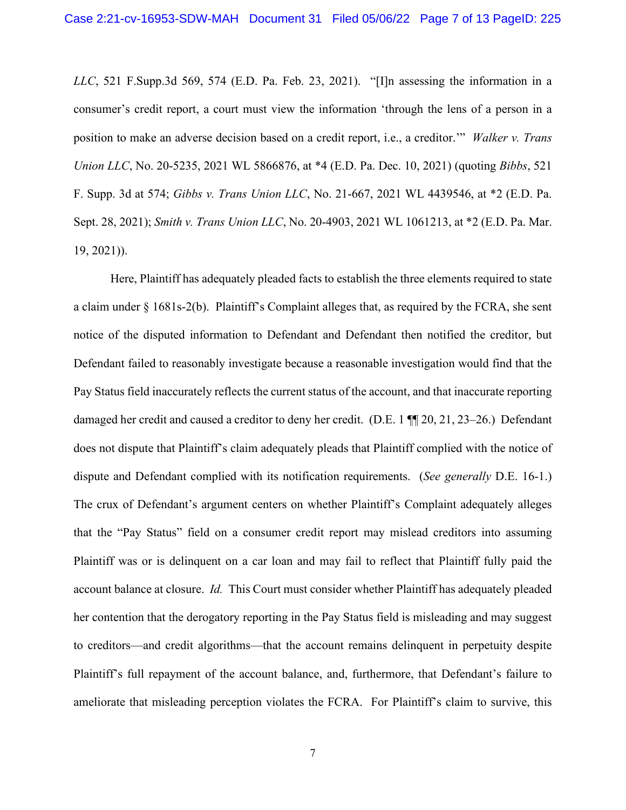*LLC*, 521 F.Supp.3d 569, 574 (E.D. Pa. Feb. 23, 2021). "[I]n assessing the information in a consumer's credit report, a court must view the information 'through the lens of a person in a position to make an adverse decision based on a credit report, i.e., a creditor.'" *Walker v. Trans Union LLC*, No. 20-5235, 2021 WL 5866876, at \*4 (E.D. Pa. Dec. 10, 2021) (quoting *Bibbs*, 521 F. Supp. 3d at 574; *Gibbs v. Trans Union LLC*, No. 21-667, 2021 WL 4439546, at \*2 (E.D. Pa. Sept. 28, 2021); *Smith v. Trans Union LLC*, No. 20-4903, 2021 WL 1061213, at \*2 (E.D. Pa. Mar. 19, 2021)).

Here, Plaintiff has adequately pleaded facts to establish the three elements required to state a claim under § 1681s-2(b). Plaintiff's Complaint alleges that, as required by the FCRA, she sent notice of the disputed information to Defendant and Defendant then notified the creditor, but Defendant failed to reasonably investigate because a reasonable investigation would find that the Pay Status field inaccurately reflects the current status of the account, and that inaccurate reporting damaged her credit and caused a creditor to deny her credit. (D.E. 1 ¶¶ 20, 21, 23–26.) Defendant does not dispute that Plaintiff's claim adequately pleads that Plaintiff complied with the notice of dispute and Defendant complied with its notification requirements. (*See generally* D.E. 16-1.) The crux of Defendant's argument centers on whether Plaintiff's Complaint adequately alleges that the "Pay Status" field on a consumer credit report may mislead creditors into assuming Plaintiff was or is delinquent on a car loan and may fail to reflect that Plaintiff fully paid the account balance at closure. *Id.* This Court must consider whether Plaintiff has adequately pleaded her contention that the derogatory reporting in the Pay Status field is misleading and may suggest to creditors—and credit algorithms—that the account remains delinquent in perpetuity despite Plaintiff's full repayment of the account balance, and, furthermore, that Defendant's failure to ameliorate that misleading perception violates the FCRA. For Plaintiff's claim to survive, this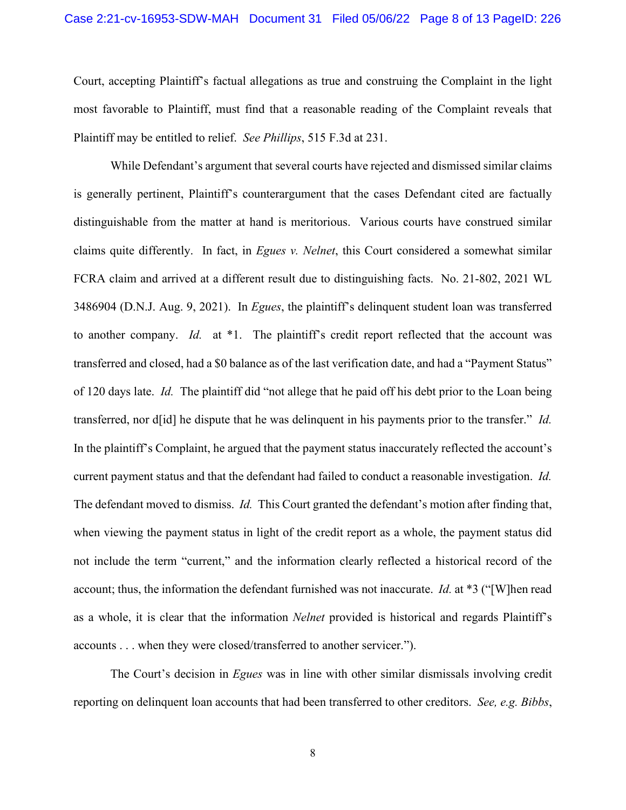Court, accepting Plaintiff's factual allegations as true and construing the Complaint in the light most favorable to Plaintiff, must find that a reasonable reading of the Complaint reveals that Plaintiff may be entitled to relief. *See Phillips*, 515 F.3d at 231.

While Defendant's argument that several courts have rejected and dismissed similar claims is generally pertinent, Plaintiff's counterargument that the cases Defendant cited are factually distinguishable from the matter at hand is meritorious. Various courts have construed similar claims quite differently. In fact, in *Egues v. Nelnet*, this Court considered a somewhat similar FCRA claim and arrived at a different result due to distinguishing facts. No. 21-802, 2021 WL 3486904 (D.N.J. Aug. 9, 2021). In *Egues*, the plaintiff's delinquent student loan was transferred to another company. *Id.* at \*1. The plaintiff's credit report reflected that the account was transferred and closed, had a \$0 balance as of the last verification date, and had a "Payment Status" of 120 days late. *Id.* The plaintiff did "not allege that he paid off his debt prior to the Loan being transferred, nor d[id] he dispute that he was delinquent in his payments prior to the transfer." *Id.* In the plaintiff's Complaint, he argued that the payment status inaccurately reflected the account's current payment status and that the defendant had failed to conduct a reasonable investigation. *Id.* The defendant moved to dismiss. *Id.* This Court granted the defendant's motion after finding that, when viewing the payment status in light of the credit report as a whole, the payment status did not include the term "current," and the information clearly reflected a historical record of the account; thus, the information the defendant furnished was not inaccurate. *Id.* at \*3 ("[W]hen read as a whole, it is clear that the information *Nelnet* provided is historical and regards Plaintiff's accounts . . . when they were closed/transferred to another servicer.").

The Court's decision in *Egues* was in line with other similar dismissals involving credit reporting on delinquent loan accounts that had been transferred to other creditors. *See, e.g. Bibbs*,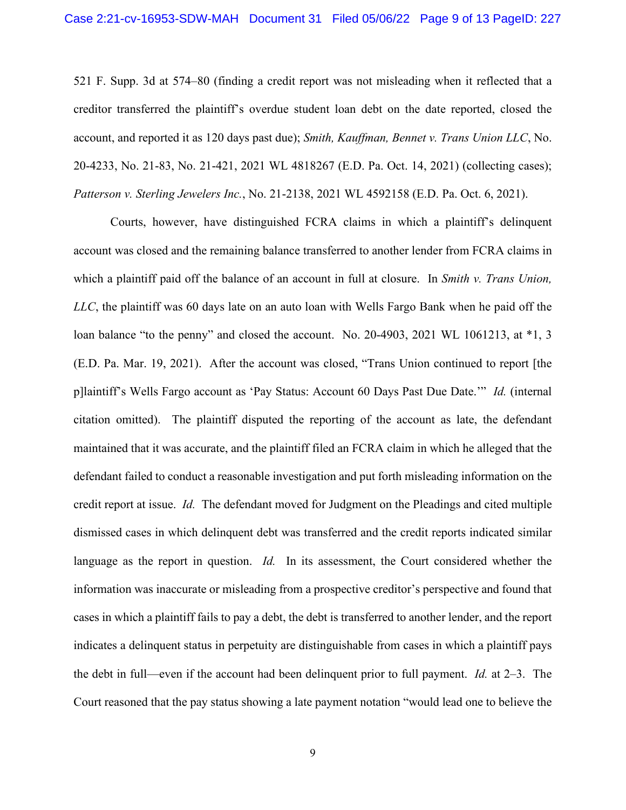521 F. Supp. 3d at 574–80 (finding a credit report was not misleading when it reflected that a creditor transferred the plaintiff's overdue student loan debt on the date reported, closed the account, and reported it as 120 days past due); *Smith, Kauffman, Bennet v. Trans Union LLC*, No. 20-4233, No. 21-83, No. 21-421, 2021 WL 4818267 (E.D. Pa. Oct. 14, 2021) (collecting cases); *Patterson v. Sterling Jewelers Inc.*, No. 21-2138, 2021 WL 4592158 (E.D. Pa. Oct. 6, 2021).

Courts, however, have distinguished FCRA claims in which a plaintiff's delinquent account was closed and the remaining balance transferred to another lender from FCRA claims in which a plaintiff paid off the balance of an account in full at closure. In *Smith v. Trans Union, LLC*, the plaintiff was 60 days late on an auto loan with Wells Fargo Bank when he paid off the loan balance "to the penny" and closed the account. No. 20-4903, 2021 WL 1061213, at  $*1$ , 3 (E.D. Pa. Mar. 19, 2021). After the account was closed, "Trans Union continued to report [the p]laintiff's Wells Fargo account as 'Pay Status: Account 60 Days Past Due Date.'" *Id.* (internal citation omitted). The plaintiff disputed the reporting of the account as late, the defendant maintained that it was accurate, and the plaintiff filed an FCRA claim in which he alleged that the defendant failed to conduct a reasonable investigation and put forth misleading information on the credit report at issue. *Id.* The defendant moved for Judgment on the Pleadings and cited multiple dismissed cases in which delinquent debt was transferred and the credit reports indicated similar language as the report in question. *Id.* In its assessment, the Court considered whether the information was inaccurate or misleading from a prospective creditor's perspective and found that cases in which a plaintiff fails to pay a debt, the debt is transferred to another lender, and the report indicates a delinquent status in perpetuity are distinguishable from cases in which a plaintiff pays the debt in full—even if the account had been delinquent prior to full payment. *Id.* at 2–3. The Court reasoned that the pay status showing a late payment notation "would lead one to believe the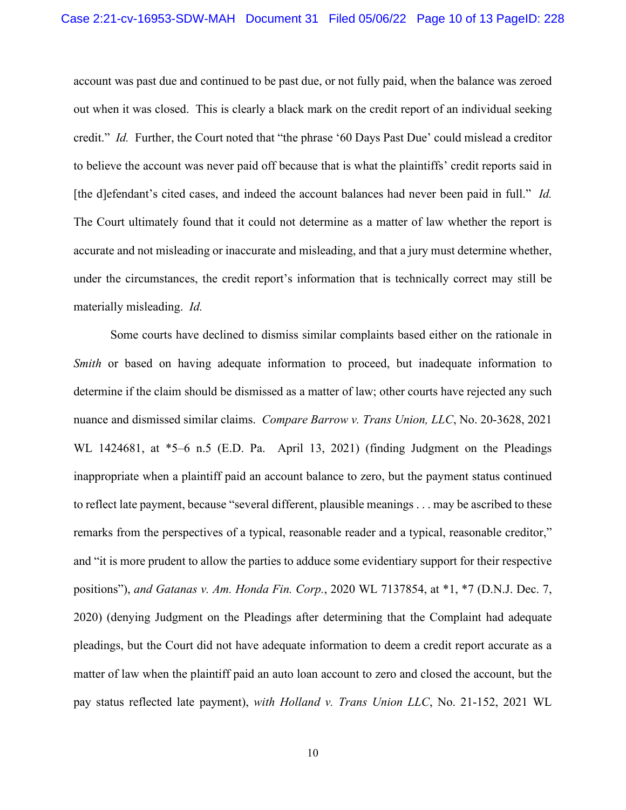account was past due and continued to be past due, or not fully paid, when the balance was zeroed out when it was closed. This is clearly a black mark on the credit report of an individual seeking credit." *Id.* Further, the Court noted that "the phrase '60 Days Past Due' could mislead a creditor to believe the account was never paid off because that is what the plaintiffs' credit reports said in [the d]efendant's cited cases, and indeed the account balances had never been paid in full." *Id.* The Court ultimately found that it could not determine as a matter of law whether the report is accurate and not misleading or inaccurate and misleading, and that a jury must determine whether, under the circumstances, the credit report's information that is technically correct may still be materially misleading. *Id.*

Some courts have declined to dismiss similar complaints based either on the rationale in *Smith* or based on having adequate information to proceed, but inadequate information to determine if the claim should be dismissed as a matter of law; other courts have rejected any such nuance and dismissed similar claims. *Compare Barrow v. Trans Union, LLC*, No. 20-3628, 2021 WL 1424681, at \*5–6 n.5 (E.D. Pa.April 13, 2021) (finding Judgment on the Pleadings inappropriate when a plaintiff paid an account balance to zero, but the payment status continued to reflect late payment, because "several different, plausible meanings . . . may be ascribed to these remarks from the perspectives of a typical, reasonable reader and a typical, reasonable creditor," and "it is more prudent to allow the parties to adduce some evidentiary support for their respective positions"), *and Gatanas v. Am. Honda Fin. Corp.*, 2020 WL 7137854, at \*1, \*7 (D.N.J. Dec. 7, 2020) (denying Judgment on the Pleadings after determining that the Complaint had adequate pleadings, but the Court did not have adequate information to deem a credit report accurate as a matter of law when the plaintiff paid an auto loan account to zero and closed the account, but the pay status reflected late payment), *with Holland v. Trans Union LLC*, No. 21-152, 2021 WL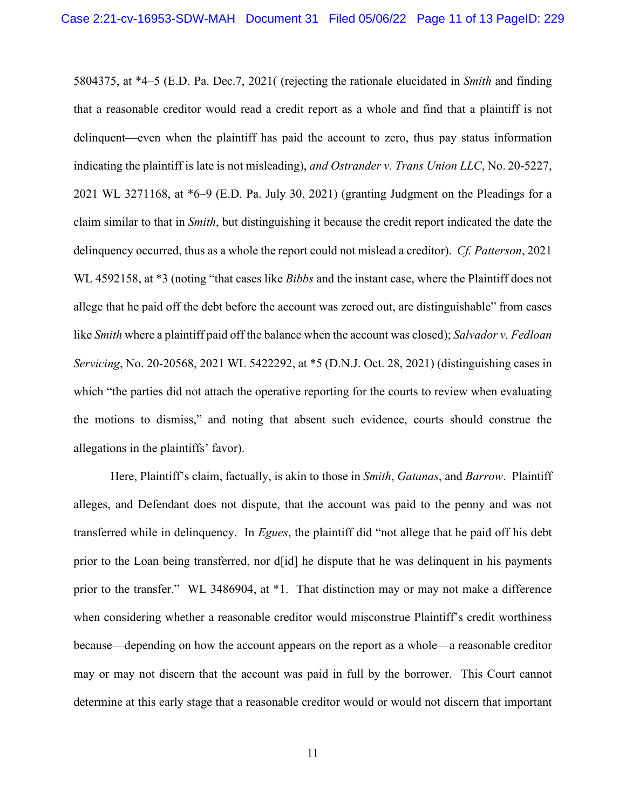5804375, at \*4–5 (E.D. Pa. Dec.7, 2021( (rejecting the rationale elucidated in *Smith* and finding that a reasonable creditor would read a credit report as a whole and find that a plaintiff is not delinquent—even when the plaintiff has paid the account to zero, thus pay status information indicating the plaintiff is late is not misleading), *and Ostrander v. Trans Union LLC*, No. 20-5227, 2021 WL 3271168, at \*6–9 (E.D. Pa. July 30, 2021) (granting Judgment on the Pleadings for a claim similar to that in *Smith*, but distinguishing it because the credit report indicated the date the delinquency occurred, thus as a whole the report could not mislead a creditor). *Cf. Patterson*, 2021 WL 4592158, at \*3 (noting "that cases like *Bibbs* and the instant case, where the Plaintiff does not allege that he paid off the debt before the account was zeroed out, are distinguishable" from cases like *Smith* where a plaintiff paid off the balance when the account was closed); *Salvador v. Fedloan Servicing*, No. 20-20568, 2021 WL 5422292, at \*5 (D.N.J. Oct. 28, 2021) (distinguishing cases in which "the parties did not attach the operative reporting for the courts to review when evaluating the motions to dismiss," and noting that absent such evidence, courts should construe the allegations in the plaintiffs' favor).

Here, Plaintiff's claim, factually, is akin to those in *Smith*, *Gatanas*, and *Barrow*. Plaintiff alleges, and Defendant does not dispute, that the account was paid to the penny and was not transferred while in delinquency. In *Egues*, the plaintiff did "not allege that he paid off his debt prior to the Loan being transferred, nor d[id] he dispute that he was delinquent in his payments prior to the transfer." WL 3486904, at \*1. That distinction may or may not make a difference when considering whether a reasonable creditor would misconstrue Plaintiff's credit worthiness because—depending on how the account appears on the report as a whole—a reasonable creditor may or may not discern that the account was paid in full by the borrower. This Court cannot determine at this early stage that a reasonable creditor would or would not discern that important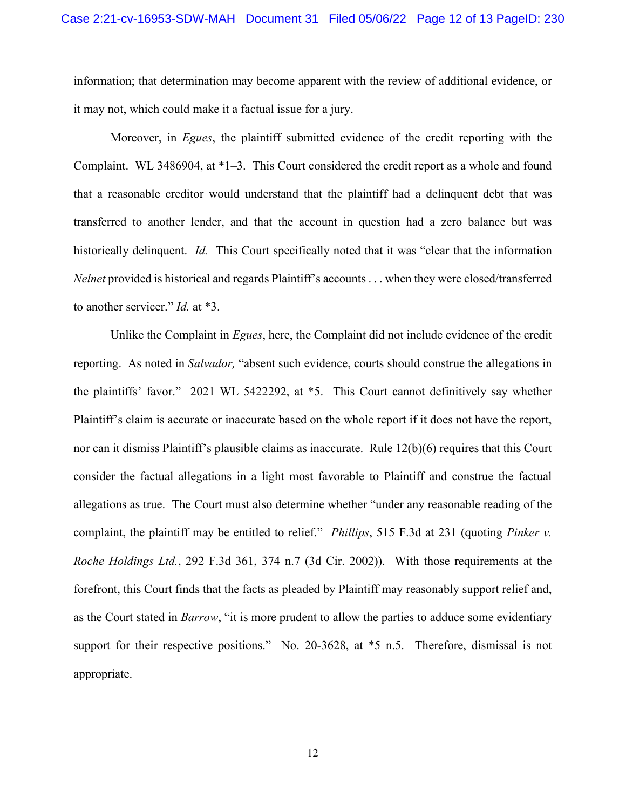information; that determination may become apparent with the review of additional evidence, or it may not, which could make it a factual issue for a jury.

Moreover, in *Egues*, the plaintiff submitted evidence of the credit reporting with the Complaint. WL 3486904, at \*1–3. This Court considered the credit report as a whole and found that a reasonable creditor would understand that the plaintiff had a delinquent debt that was transferred to another lender, and that the account in question had a zero balance but was historically delinquent. *Id.* This Court specifically noted that it was "clear that the information" *Nelnet* provided is historical and regards Plaintiff's accounts . . . when they were closed/transferred to another servicer." *Id.* at \*3.

Unlike the Complaint in *Egues*, here, the Complaint did not include evidence of the credit reporting. As noted in *Salvador,* "absent such evidence, courts should construe the allegations in the plaintiffs' favor." 2021 WL 5422292, at \*5. This Court cannot definitively say whether Plaintiff's claim is accurate or inaccurate based on the whole report if it does not have the report, nor can it dismiss Plaintiff's plausible claims as inaccurate. Rule 12(b)(6) requires that this Court consider the factual allegations in a light most favorable to Plaintiff and construe the factual allegations as true. The Court must also determine whether "under any reasonable reading of the complaint, the plaintiff may be entitled to relief." *Phillips*, 515 F.3d at 231 (quoting *Pinker v. Roche Holdings Ltd.*, 292 F.3d 361, 374 n.7 (3d Cir. 2002)). With those requirements at the forefront, this Court finds that the facts as pleaded by Plaintiff may reasonably support relief and, as the Court stated in *Barrow*, "it is more prudent to allow the parties to adduce some evidentiary support for their respective positions." No. 20-3628, at  $*5$  n.5. Therefore, dismissal is not appropriate.